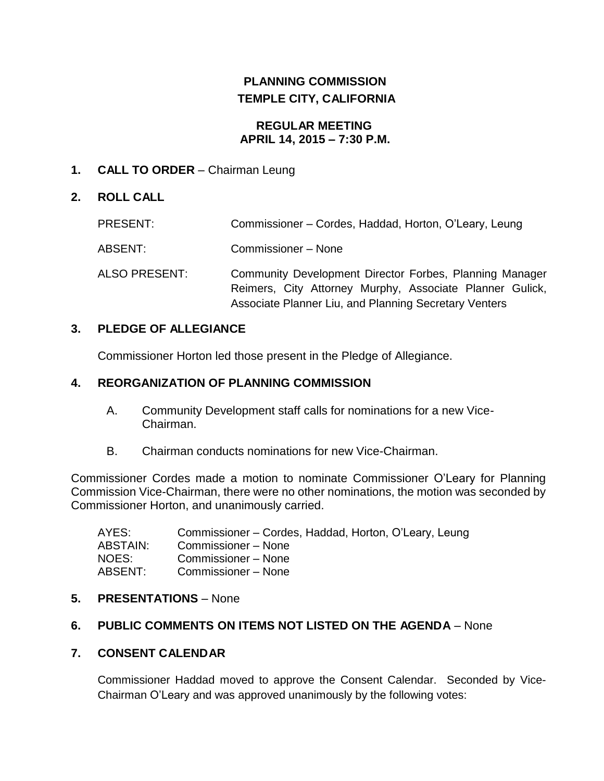# **PLANNING COMMISSION TEMPLE CITY, CALIFORNIA**

#### **REGULAR MEETING APRIL 14, 2015 – 7:30 P.M.**

## **1. CALL TO ORDER** – Chairman Leung

## **2. ROLL CALL**

| PRESENT:      | Commissioner – Cordes, Haddad, Horton, O'Leary, Leung                                                                                                                        |
|---------------|------------------------------------------------------------------------------------------------------------------------------------------------------------------------------|
| ABSENT:       | Commissioner - None                                                                                                                                                          |
| ALSO PRESENT: | Community Development Director Forbes, Planning Manager<br>Reimers, City Attorney Murphy, Associate Planner Gulick,<br>Associate Planner Liu, and Planning Secretary Venters |

## **3. PLEDGE OF ALLEGIANCE**

Commissioner Horton led those present in the Pledge of Allegiance.

#### **4. REORGANIZATION OF PLANNING COMMISSION**

- A. Community Development staff calls for nominations for a new Vice-Chairman.
- B. Chairman conducts nominations for new Vice-Chairman.

Commissioner Cordes made a motion to nominate Commissioner O'Leary for Planning Commission Vice-Chairman, there were no other nominations, the motion was seconded by Commissioner Horton, and unanimously carried.

| AYES:    | Commissioner – Cordes, Haddad, Horton, O'Leary, Leung |
|----------|-------------------------------------------------------|
| ABSTAIN: | Commissioner – None                                   |
| NOES:    | Commissioner – None                                   |
| ABSENT:  | Commissioner - None                                   |

#### **5. PRESENTATIONS** – None

## **6. PUBLIC COMMENTS ON ITEMS NOT LISTED ON THE AGENDA** – None

#### **7. CONSENT CALENDAR**

Commissioner Haddad moved to approve the Consent Calendar. Seconded by Vice-Chairman O'Leary and was approved unanimously by the following votes: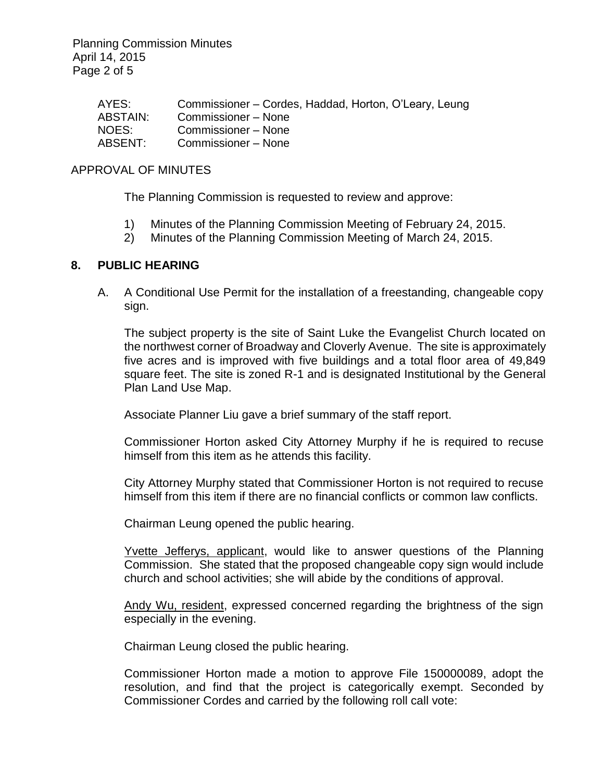Planning Commission Minutes April 14, 2015 Page 2 of 5

| Commissioner – Cordes, Haddad, Horton, O'Leary, Leung |
|-------------------------------------------------------|
| Commissioner – None                                   |
| Commissioner – None                                   |
| Commissioner – None                                   |
|                                                       |

#### APPROVAL OF MINUTES

The Planning Commission is requested to review and approve:

- 1) Minutes of the Planning Commission Meeting of February 24, 2015.
- 2) Minutes of the Planning Commission Meeting of March 24, 2015.

#### **8. PUBLIC HEARING**

A. A Conditional Use Permit for the installation of a freestanding, changeable copy sign.

The subject property is the site of Saint Luke the Evangelist Church located on the northwest corner of Broadway and Cloverly Avenue. The site is approximately five acres and is improved with five buildings and a total floor area of 49,849 square feet. The site is zoned R-1 and is designated Institutional by the General Plan Land Use Map.

Associate Planner Liu gave a brief summary of the staff report.

Commissioner Horton asked City Attorney Murphy if he is required to recuse himself from this item as he attends this facility.

City Attorney Murphy stated that Commissioner Horton is not required to recuse himself from this item if there are no financial conflicts or common law conflicts.

Chairman Leung opened the public hearing.

Yvette Jefferys, applicant, would like to answer questions of the Planning Commission. She stated that the proposed changeable copy sign would include church and school activities; she will abide by the conditions of approval.

Andy Wu, resident, expressed concerned regarding the brightness of the sign especially in the evening.

Chairman Leung closed the public hearing.

Commissioner Horton made a motion to approve File 150000089, adopt the resolution, and find that the project is categorically exempt. Seconded by Commissioner Cordes and carried by the following roll call vote: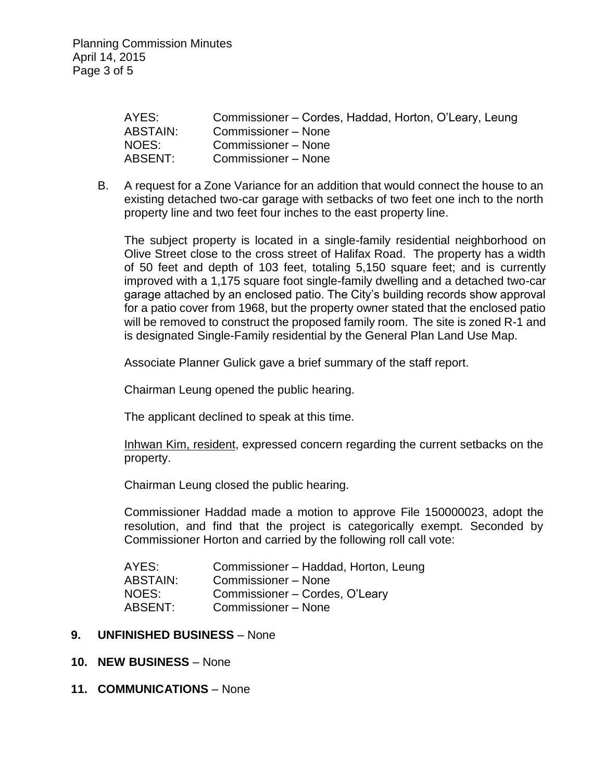| AYES:    | Commissioner – Cordes, Haddad, Horton, O'Leary, Leung |
|----------|-------------------------------------------------------|
| ABSTAIN: | Commissioner - None                                   |
| NOES:    | Commissioner – None                                   |
| ABSENT:  | Commissioner – None                                   |

B. A request for a Zone Variance for an addition that would connect the house to an existing detached two-car garage with setbacks of two feet one inch to the north property line and two feet four inches to the east property line.

The subject property is located in a single-family residential neighborhood on Olive Street close to the cross street of Halifax Road. The property has a width of 50 feet and depth of 103 feet, totaling 5,150 square feet; and is currently improved with a 1,175 square foot single-family dwelling and a detached two-car garage attached by an enclosed patio. The City's building records show approval for a patio cover from 1968, but the property owner stated that the enclosed patio will be removed to construct the proposed family room. The site is zoned R-1 and is designated Single-Family residential by the General Plan Land Use Map.

Associate Planner Gulick gave a brief summary of the staff report.

Chairman Leung opened the public hearing.

The applicant declined to speak at this time.

Inhwan Kim, resident, expressed concern regarding the current setbacks on the property.

Chairman Leung closed the public hearing.

Commissioner Haddad made a motion to approve File 150000023, adopt the resolution, and find that the project is categorically exempt. Seconded by Commissioner Horton and carried by the following roll call vote:

| AYES:           | Commissioner - Haddad, Horton, Leung |
|-----------------|--------------------------------------|
| <b>ABSTAIN:</b> | Commissioner – None                  |
| NOES:           | Commissioner - Cordes, O'Leary       |
| ABSENT:         | Commissioner - None                  |

#### **9. UNFINISHED BUSINESS** – None

- **10. NEW BUSINESS** None
- **11. COMMUNICATIONS** None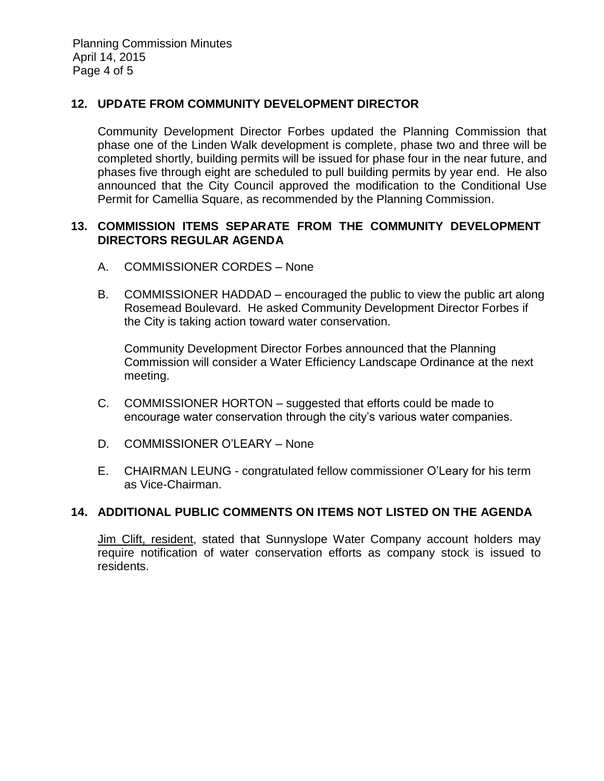Planning Commission Minutes April 14, 2015 Page 4 of 5

#### **12. UPDATE FROM COMMUNITY DEVELOPMENT DIRECTOR**

Community Development Director Forbes updated the Planning Commission that phase one of the Linden Walk development is complete, phase two and three will be completed shortly, building permits will be issued for phase four in the near future, and phases five through eight are scheduled to pull building permits by year end. He also announced that the City Council approved the modification to the Conditional Use Permit for Camellia Square, as recommended by the Planning Commission.

#### **13. COMMISSION ITEMS SEPARATE FROM THE COMMUNITY DEVELOPMENT DIRECTORS REGULAR AGENDA**

- A. COMMISSIONER CORDES None
- B. COMMISSIONER HADDAD encouraged the public to view the public art along Rosemead Boulevard. He asked Community Development Director Forbes if the City is taking action toward water conservation.

Community Development Director Forbes announced that the Planning Commission will consider a Water Efficiency Landscape Ordinance at the next meeting.

- C. COMMISSIONER HORTON suggested that efforts could be made to encourage water conservation through the city's various water companies.
- D. COMMISSIONER O'LEARY None
- E. CHAIRMAN LEUNG congratulated fellow commissioner O'Leary for his term as Vice-Chairman.

#### **14. ADDITIONAL PUBLIC COMMENTS ON ITEMS NOT LISTED ON THE AGENDA**

Jim Clift, resident, stated that Sunnyslope Water Company account holders may require notification of water conservation efforts as company stock is issued to residents.